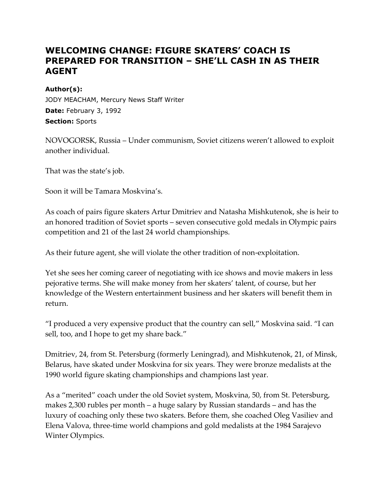## **WELCOMING CHANGE: FIGURE SKATERS' COACH IS PREPARED FOR TRANSITION – SHE'LL CASH IN AS THEIR AGENT**

## **Author(s):**

JODY MEACHAM, Mercury News Staff Writer **Date:** February 3, 1992 **Section:** Sports

NOVOGORSK, Russia – Under communism, Soviet citizens weren't allowed to exploit another individual.

That was the state's job.

Soon it will be Tamara Moskvina's.

As coach of pairs figure skaters Artur Dmitriev and Natasha Mishkutenok, she is heir to an honored tradition of Soviet sports – seven consecutive gold medals in Olympic pairs competition and 21 of the last 24 world championships.

As their future agent, she will violate the other tradition of non-exploitation.

Yet she sees her coming career of negotiating with ice shows and movie makers in less pejorative terms. She will make money from her skaters' talent, of course, but her knowledge of the Western entertainment business and her skaters will benefit them in return.

"I produced a very expensive product that the country can sell," Moskvina said. "I can sell, too, and I hope to get my share back."

Dmitriev, 24, from St. Petersburg (formerly Leningrad), and Mishkutenok, 21, of Minsk, Belarus, have skated under Moskvina for six years. They were bronze medalists at the 1990 world figure skating championships and champions last year.

As a "merited" coach under the old Soviet system, Moskvina, 50, from St. Petersburg, makes 2,300 rubles per month – a huge salary by Russian standards – and has the luxury of coaching only these two skaters. Before them, she coached Oleg Vasiliev and Elena Valova, three-time world champions and gold medalists at the 1984 Sarajevo Winter Olympics.